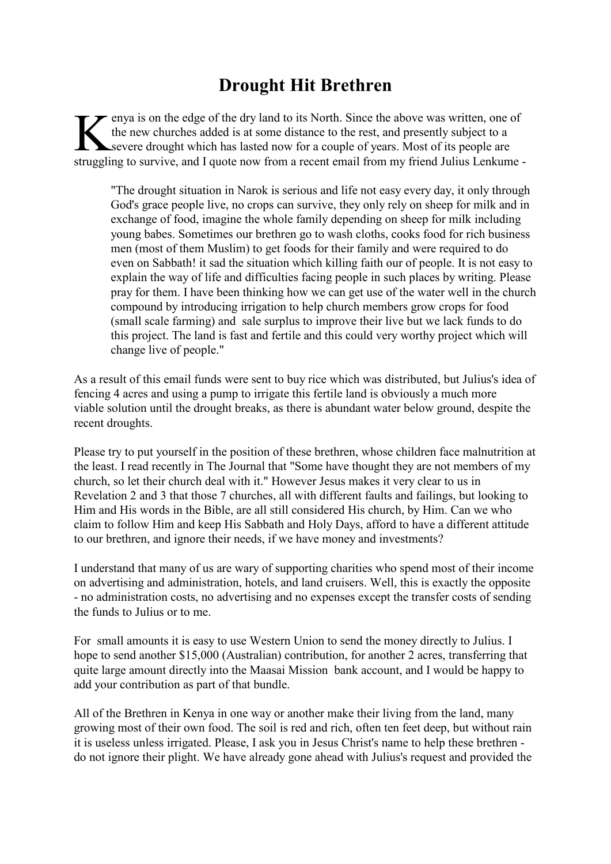## **Drought Hit Brethren**

English and to its North. Since the above was written, one of the new churches added is at some distance to the rest, and presently subject to a severe drought which has lasted now for a couple of years. Most of its people enya is on the edge of the dry land to its North. Since the above was written, one of the new churches added is at some distance to the rest, and presently subject to a severe drought which has lasted now for a couple of years. Most of its people are

"The drought situation in Narok is serious and life not easy every day, it only through God's grace people live, no crops can survive, they only rely on sheep for milk and in exchange of food, imagine the whole family depending on sheep for milk including young babes. Sometimes our brethren go to wash cloths, cooks food for rich business men (most of them Muslim) to get foods for their family and were required to do even on Sabbath! it sad the situation which killing faith our of people. It is not easy to explain the way of life and difficulties facing people in such places by writing. Please pray for them. I have been thinking how we can get use of the water well in the church compound by introducing irrigation to help church members grow crops for food (small scale farming) and sale surplus to improve their live but we lack funds to do this project. The land is fast and fertile and this could very worthy project which will change live of people."

As a result of this email funds were sent to buy rice which was distributed, but Julius's idea of fencing 4 acres and using a pump to irrigate this fertile land is obviously a much more viable solution until the drought breaks, as there is abundant water below ground, despite the recent droughts.

Please try to put yourself in the position of these brethren, whose children face malnutrition at the least. I read recently in The Journal that "Some have thought they are not members of my church, so let their church deal with it." However Jesus makes it very clear to us in Revelation 2 and 3 that those 7 churches, all with different faults and failings, but looking to Him and His words in the Bible, are all still considered His church, by Him. Can we who claim to follow Him and keep His Sabbath and Holy Days, afford to have a different attitude to our brethren, and ignore their needs, if we have money and investments?

I understand that many of us are wary of supporting charities who spend most of their income on advertising and administration, hotels, and land cruisers. Well, this is exactly the opposite - no administration costs, no advertising and no expenses except the transfer costs of sending the funds to Julius or to me.

For small amounts it is easy to use Western Union to send the money directly to Julius. I hope to send another \$15,000 (Australian) contribution, for another 2 acres, transferring that quite large amount directly into the Maasai Mission bank account, and I would be happy to add your contribution as part of that bundle.

All of the Brethren in Kenya in one way or another make their living from the land, many growing most of their own food. The soil is red and rich, often ten feet deep, but without rain it is useless unless irrigated. Please, I ask you in Jesus Christ's name to help these brethren do not ignore their plight. We have already gone ahead with Julius's request and provided the